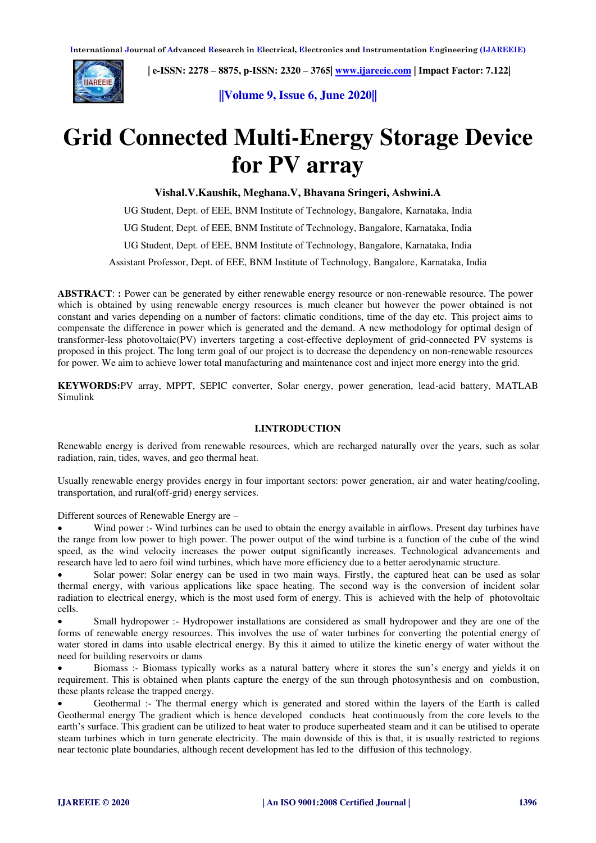

 **| e-ISSN: 2278 – 8875, p-ISSN: 2320 – 3765| [www.ijareeie.com](http://www.ijareeie.com/) | Impact Factor: 7.122|** 

**||Volume 9, Issue 6, June 2020||** 

# **Grid Connected Multi-Energy Storage Device for PV array**

**Vishal.V.Kaushik, Meghana.V, Bhavana Sringeri, Ashwini.A** 

UG Student, Dept. of EEE, BNM Institute of Technology, Bangalore, Karnataka, India

UG Student, Dept. of EEE, BNM Institute of Technology, Bangalore, Karnataka, India

UG Student, Dept. of EEE, BNM Institute of Technology, Bangalore, Karnataka, India

Assistant Professor, Dept. of EEE, BNM Institute of Technology, Bangalore, Karnataka, India

**ABSTRACT**: **:** Power can be generated by either renewable energy resource or non-renewable resource. The power which is obtained by using renewable energy resources is much cleaner but however the power obtained is not constant and varies depending on a number of factors: climatic conditions, time of the day etc. This project aims to compensate the difference in power which is generated and the demand. A new methodology for optimal design of transformer-less photovoltaic(PV) inverters targeting a cost-effective deployment of grid-connected PV systems is proposed in this project. The long term goal of our project is to decrease the dependency on non-renewable resources for power. We aim to achieve lower total manufacturing and maintenance cost and inject more energy into the grid.

**KEYWORDS:**PV array, MPPT, SEPIC converter, Solar energy, power generation, lead-acid battery, MATLAB Simulink

## **I.INTRODUCTION**

Renewable energy is derived from renewable resources, which are recharged naturally over the years, such as solar radiation, rain, tides, waves, and geo thermal heat.

Usually renewable energy provides energy in four important sectors: power generation, air and water heating/cooling, transportation, and rural(off-grid) energy services.

Different sources of Renewable Energy are –

Wind power :- Wind turbines can be used to obtain the energy available in airflows. Present day turbines have the range from low power to high power. The power output of the wind turbine is a function of the cube of the wind speed, as the wind velocity increases the power output significantly increases. Technological advancements and research have led to aero foil wind turbines, which have more efficiency due to a better aerodynamic structure.

 Solar power: Solar energy can be used in two main ways. Firstly, the captured heat can be used as solar thermal energy, with various applications like space heating. The second way is the conversion of incident solar radiation to electrical energy, which is the most used form of energy. This is achieved with the help of photovoltaic cells.

 Small hydropower :- Hydropower installations are considered as small hydropower and they are one of the forms of renewable energy resources. This involves the use of water turbines for converting the potential energy of water stored in dams into usable electrical energy. By this it aimed to utilize the kinetic energy of water without the need for building reservoirs or dams

 Biomass :- Biomass typically works as a natural battery where it stores the sun's energy and yields it on requirement. This is obtained when plants capture the energy of the sun through photosynthesis and on combustion, these plants release the trapped energy.

 Geothermal :- The thermal energy which is generated and stored within the layers of the Earth is called Geothermal energy The gradient which is hence developed conducts heat continuously from the core levels to the earth's surface. This gradient can be utilized to heat water to produce superheated steam and it can be utilised to operate steam turbines which in turn generate electricity. The main downside of this is that, it is usually restricted to regions near tectonic plate boundaries, although recent development has led to the diffusion of this technology.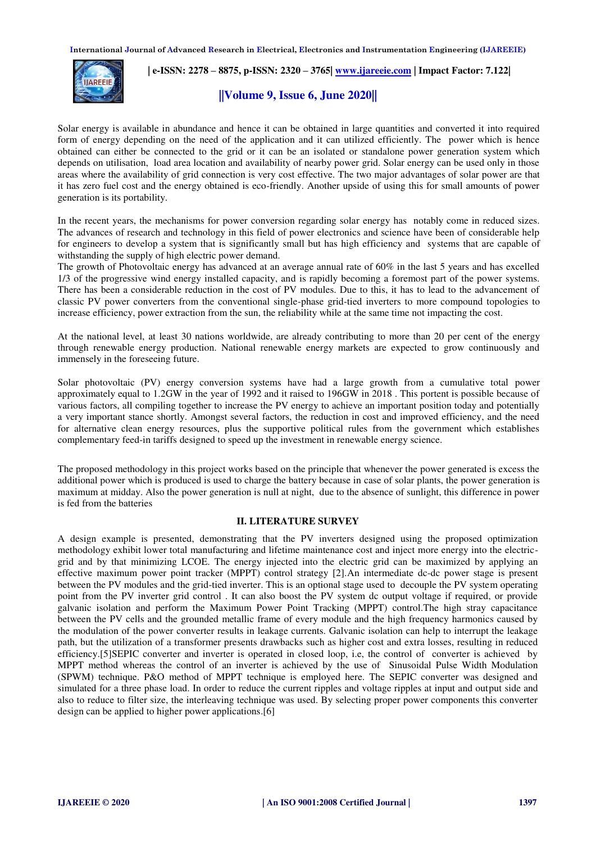

# **| e-ISSN: 2278 – 8875, p-ISSN: 2320 – 3765| [www.ijareeie.com](http://www.ijareeie.com/) | Impact Factor: 7.122|**

# **||Volume 9, Issue 6, June 2020||**

Solar energy is available in abundance and hence it can be obtained in large quantities and converted it into required form of energy depending on the need of the application and it can utilized efficiently. The power which is hence obtained can either be connected to the grid or it can be an isolated or standalone power generation system which depends on utilisation, load area location and availability of nearby power grid. Solar energy can be used only in those areas where the availability of grid connection is very cost effective. The two major advantages of solar power are that it has zero fuel cost and the energy obtained is eco-friendly. Another upside of using this for small amounts of power generation is its portability.

In the recent years, the mechanisms for power conversion regarding solar energy has notably come in reduced sizes. The advances of research and technology in this field of power electronics and science have been of considerable help for engineers to develop a system that is significantly small but has high efficiency and systems that are capable of withstanding the supply of high electric power demand.

The growth of Photovoltaic energy has advanced at an average annual rate of 60% in the last 5 years and has excelled 1/3 of the progressive wind energy installed capacity, and is rapidly becoming a foremost part of the power systems. There has been a considerable reduction in the cost of PV modules. Due to this, it has to lead to the advancement of classic PV power converters from the conventional single-phase grid-tied inverters to more compound topologies to increase efficiency, power extraction from the sun, the reliability while at the same time not impacting the cost.

At the national level, at least 30 nations worldwide, are already contributing to more than 20 per cent of the energy through renewable energy production. National renewable energy markets are expected to grow continuously and immensely in the foreseeing future.

Solar photovoltaic (PV) energy conversion systems have had a large growth from a cumulative total power approximately equal to 1.2GW in the year of 1992 and it raised to 196GW in 2018 . This portent is possible because of various factors, all compiling together to increase the PV energy to achieve an important position today and potentially a very important stance shortly. Amongst several factors, the reduction in cost and improved efficiency, and the need for alternative clean energy resources, plus the supportive political rules from the government which establishes complementary feed-in tariffs designed to speed up the investment in renewable energy science.

The proposed methodology in this project works based on the principle that whenever the power generated is excess the additional power which is produced is used to charge the battery because in case of solar plants, the power generation is maximum at midday. Also the power generation is null at night, due to the absence of sunlight, this difference in power is fed from the batteries

#### **II. LITERATURE SURVEY**

A design example is presented, demonstrating that the PV inverters designed using the proposed optimization methodology exhibit lower total manufacturing and lifetime maintenance cost and inject more energy into the electricgrid and by that minimizing LCOE. The energy injected into the electric grid can be maximized by applying an effective maximum power point tracker (MPPT) control strategy [2].An intermediate dc-dc power stage is present between the PV modules and the grid-tied inverter. This is an optional stage used to decouple the PV system operating point from the PV inverter grid control . It can also boost the PV system dc output voltage if required, or provide galvanic isolation and perform the Maximum Power Point Tracking (MPPT) control.The high stray capacitance between the PV cells and the grounded metallic frame of every module and the high frequency harmonics caused by the modulation of the power converter results in leakage currents. Galvanic isolation can help to interrupt the leakage path, but the utilization of a transformer presents drawbacks such as higher cost and extra losses, resulting in reduced efficiency.[5]SEPIC converter and inverter is operated in closed loop, i.e, the control of converter is achieved by MPPT method whereas the control of an inverter is achieved by the use of Sinusoidal Pulse Width Modulation (SPWM) technique. P&O method of MPPT technique is employed here. The SEPIC converter was designed and simulated for a three phase load. In order to reduce the current ripples and voltage ripples at input and output side and also to reduce to filter size, the interleaving technique was used. By selecting proper power components this converter design can be applied to higher power applications.[6]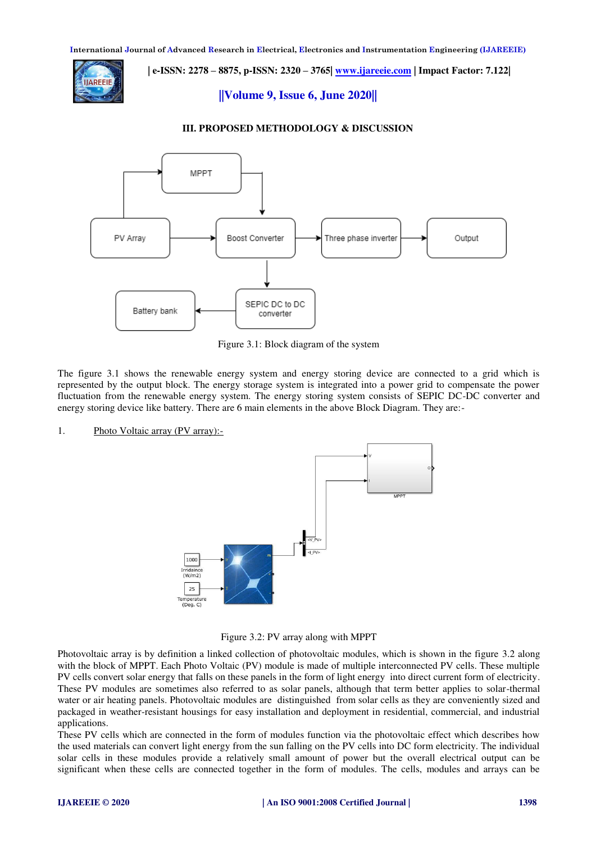

 **| e-ISSN: 2278 – 8875, p-ISSN: 2320 – 3765| [www.ijareeie.com](http://www.ijareeie.com/) | Impact Factor: 7.122|** 

**||Volume 9, Issue 6, June 2020||** 

#### **III. PROPOSED METHODOLOGY & DISCUSSION**



Figure 3.1: Block diagram of the system

The figure 3.1 shows the renewable energy system and energy storing device are connected to a grid which is represented by the output block. The energy storage system is integrated into a power grid to compensate the power fluctuation from the renewable energy system. The energy storing system consists of SEPIC DC-DC converter and energy storing device like battery. There are 6 main elements in the above Block Diagram. They are:-

1. Photo Voltaic array (PV array):-

1000 Irridainc<br>(W/m2)  $25$ emperatu<br>(Deg. C)

Figure 3.2: PV array along with MPPT

Photovoltaic array is by definition a linked collection of photovoltaic modules, which is shown in the figure 3.2 along with the block of MPPT. Each Photo Voltaic (PV) module is made of multiple interconnected PV cells. These multiple PV cells convert solar energy that falls on these panels in the form of light energy into direct current form of electricity. These PV modules are sometimes also referred to as solar panels, although that term better applies to solar-thermal water or air heating panels. Photovoltaic modules are distinguished from solar cells as they are conveniently sized and packaged in weather-resistant housings for easy installation and deployment in residential, commercial, and industrial applications.

These PV cells which are connected in the form of modules function via the photovoltaic effect which describes how the used materials can convert light energy from the sun falling on the PV cells into DC form electricity. The individual solar cells in these modules provide a relatively small amount of power but the overall electrical output can be significant when these cells are connected together in the form of modules. The cells, modules and arrays can be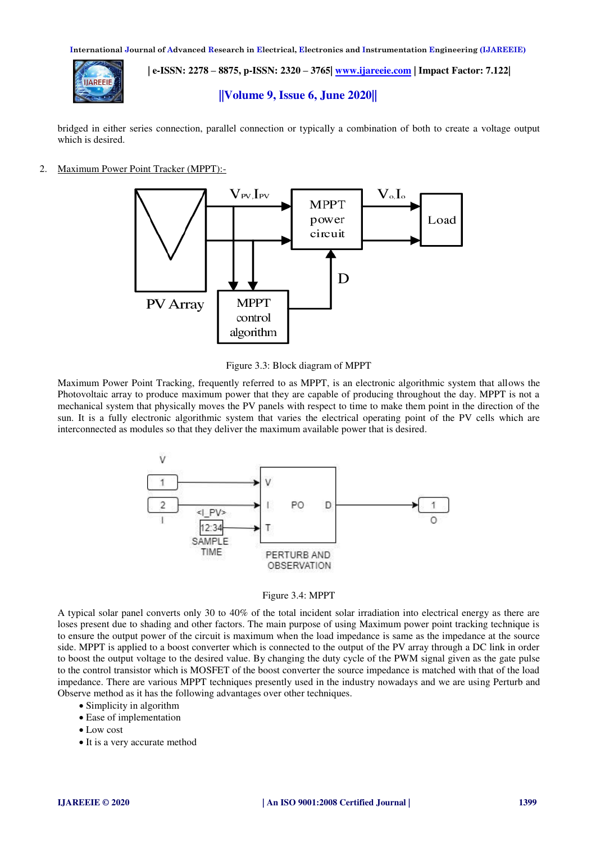

 **| e-ISSN: 2278 – 8875, p-ISSN: 2320 – 3765| [www.ijareeie.com](http://www.ijareeie.com/) | Impact Factor: 7.122|** 

## **||Volume 9, Issue 6, June 2020||**

bridged in either series connection, parallel connection or typically a combination of both to create a voltage output which is desired.

2. Maximum Power Point Tracker (MPPT):-





Maximum Power Point Tracking, frequently referred to as MPPT, is an electronic algorithmic system that allows the Photovoltaic array to produce maximum power that they are capable of producing throughout the day. MPPT is not a mechanical system that physically moves the PV panels with respect to time to make them point in the direction of the sun. It is a fully electronic algorithmic system that varies the electrical operating point of the PV cells which are interconnected as modules so that they deliver the maximum available power that is desired.



#### Figure 3.4: MPPT

A typical solar panel converts only 30 to 40% of the total incident solar irradiation into electrical energy as there are loses present due to shading and other factors. The main purpose of using Maximum power point tracking technique is to ensure the output power of the circuit is maximum when the load impedance is same as the impedance at the source side. MPPT is applied to a boost converter which is connected to the output of the PV array through a DC link in order to boost the output voltage to the desired value. By changing the duty cycle of the PWM signal given as the gate pulse to the control transistor which is MOSFET of the boost converter the source impedance is matched with that of the load impedance. There are various MPPT techniques presently used in the industry nowadays and we are using Perturb and Observe method as it has the following advantages over other techniques.

- Simplicity in algorithm
- Ease of implementation
- Low cost
- It is a very accurate method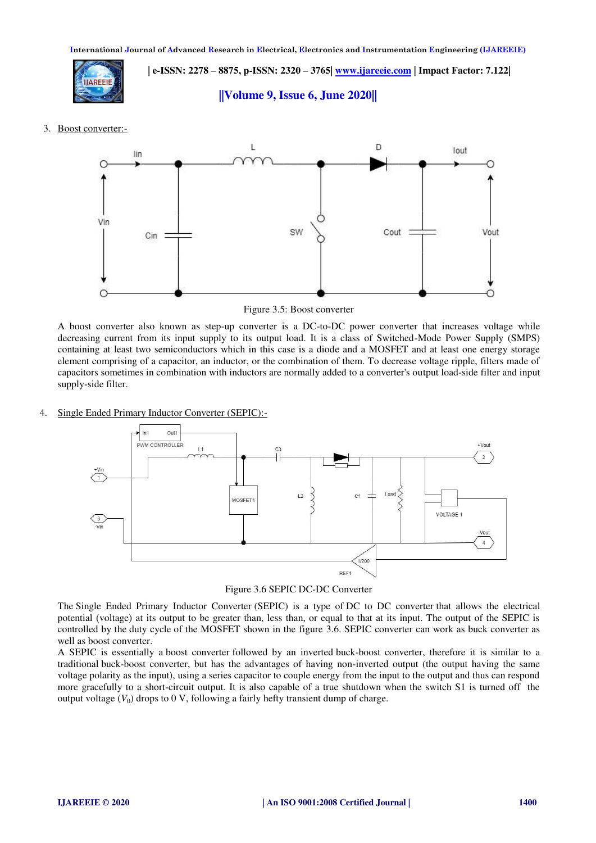

 **| e-ISSN: 2278 – 8875, p-ISSN: 2320 – 3765| [www.ijareeie.com](http://www.ijareeie.com/) | Impact Factor: 7.122|** 

**||Volume 9, Issue 6, June 2020||** 

3. Boost converter:-



Figure 3.5: Boost converter

A boost converter also known as step-up converter is a DC-to-DC power converter that increases voltage while decreasing current from its input supply to its output load. It is a class of Switched-Mode Power Supply (SMPS) containing at least two semiconductors which in this case is a diode and a MOSFET and at least one energy storage element comprising of a capacitor, an inductor, or the combination of them. To decrease voltage ripple, filters made of capacitors sometimes in combination with inductors are normally added to a converter's output load-side filter and input supply-side filter.

## 4. Single Ended Primary Inductor Converter (SEPIC):-



Figure 3.6 SEPIC DC-DC Converter

The Single Ended Primary Inductor Converter (SEPIC) is a type of DC to DC converter that allows the electrical potential (voltage) at its output to be greater than, less than, or equal to that at its input. The output of the SEPIC is controlled by the duty cycle of the MOSFET shown in the figure 3.6. SEPIC converter can work as buck converter as well as boost converter.

A SEPIC is essentially a boost converter followed by an inverted buck-boost converter, therefore it is similar to a traditional buck-boost converter, but has the advantages of having non-inverted output (the output having the same voltage polarity as the input), using a series capacitor to couple energy from the input to the output and thus can respond more gracefully to a short-circuit output. It is also capable of a true shutdown when the switch S1 is turned off the output voltage  $(V_0)$  drops to 0 V, following a fairly hefty transient dump of charge.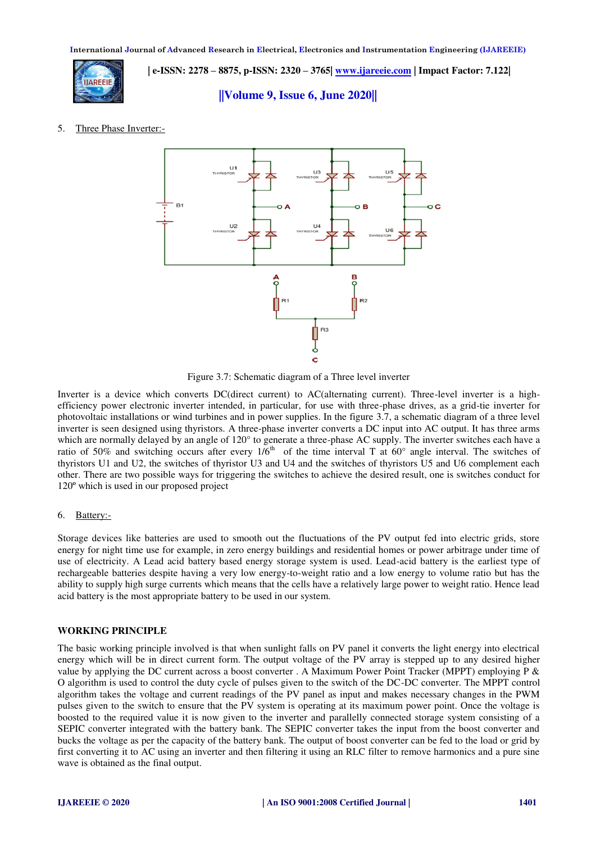

 **| e-ISSN: 2278 – 8875, p-ISSN: 2320 – 3765| [www.ijareeie.com](http://www.ijareeie.com/) | Impact Factor: 7.122|** 

**||Volume 9, Issue 6, June 2020||** 

## 5. Three Phase Inverter:-



Figure 3.7: Schematic diagram of a Three level inverter

Inverter is a device which converts DC(direct current) to AC(alternating current). Three-level inverter is a highefficiency power electronic inverter intended, in particular, for use with three-phase drives, as a grid-tie inverter for photovoltaic installations or wind turbines and in power supplies. In the figure 3.7, a schematic diagram of a three level inverter is seen designed using thyristors. A three-phase inverter converts a DC input into AC output. It has three arms which are normally delayed by an angle of 120° to generate a three-phase AC supply. The inverter switches each have a ratio of 50% and switching occurs after every  $1/6<sup>th</sup>$  of the time interval T at 60° angle interval. The switches of thyristors U1 and U2, the switches of thyristor U3 and U4 and the switches of thyristors U5 and U6 complement each other. There are two possible ways for triggering the switches to achieve the desired result, one is switches conduct for 120º which is used in our proposed project

## 6. Battery:-

Storage devices like batteries are used to smooth out the fluctuations of the PV output fed into electric grids, store energy for night time use for example, in zero energy buildings and residential homes or power arbitrage under time of use of electricity. A Lead acid battery based energy storage system is used. Lead-acid battery is the earliest type of rechargeable batteries despite having a very low energy-to-weight ratio and a low energy to volume ratio but has the ability to supply high surge currents which means that the cells have a relatively large power to weight ratio. Hence lead acid battery is the most appropriate battery to be used in our system.

#### **WORKING PRINCIPLE**

The basic working principle involved is that when sunlight falls on PV panel it converts the light energy into electrical energy which will be in direct current form. The output voltage of the PV array is stepped up to any desired higher value by applying the DC current across a boost converter . A Maximum Power Point Tracker (MPPT) employing P & O algorithm is used to control the duty cycle of pulses given to the switch of the DC-DC converter. The MPPT control algorithm takes the voltage and current readings of the PV panel as input and makes necessary changes in the PWM pulses given to the switch to ensure that the PV system is operating at its maximum power point. Once the voltage is boosted to the required value it is now given to the inverter and parallelly connected storage system consisting of a SEPIC converter integrated with the battery bank. The SEPIC converter takes the input from the boost converter and bucks the voltage as per the capacity of the battery bank. The output of boost converter can be fed to the load or grid by first converting it to AC using an inverter and then filtering it using an RLC filter to remove harmonics and a pure sine wave is obtained as the final output.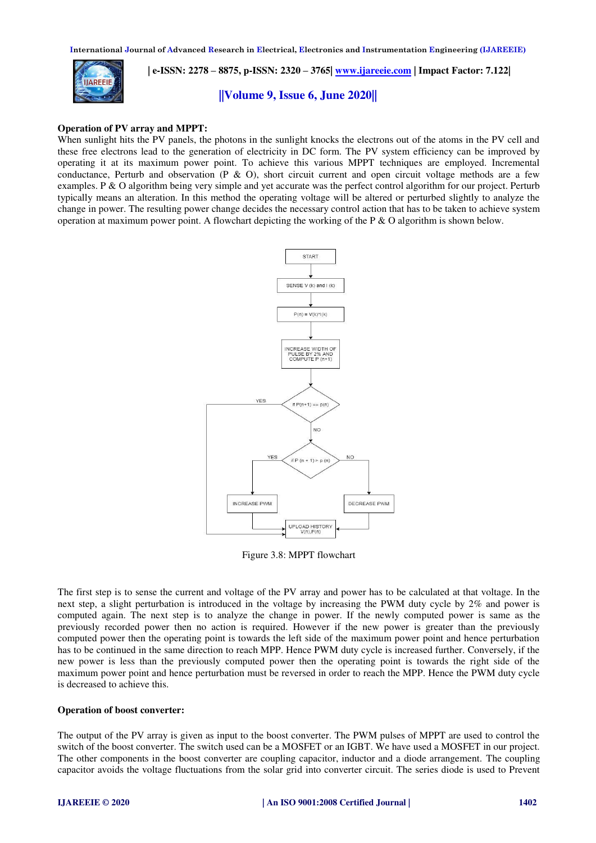

 **| e-ISSN: 2278 – 8875, p-ISSN: 2320 – 3765| [www.ijareeie.com](http://www.ijareeie.com/) | Impact Factor: 7.122|** 

**||Volume 9, Issue 6, June 2020||** 

#### **Operation of PV array and MPPT:**

When sunlight hits the PV panels, the photons in the sunlight knocks the electrons out of the atoms in the PV cell and these free electrons lead to the generation of electricity in DC form. The PV system efficiency can be improved by operating it at its maximum power point. To achieve this various MPPT techniques are employed. Incremental conductance, Perturb and observation (P  $\&$  O), short circuit current and open circuit voltage methods are a few examples. P & O algorithm being very simple and yet accurate was the perfect control algorithm for our project. Perturb typically means an alteration. In this method the operating voltage will be altered or perturbed slightly to analyze the change in power. The resulting power change decides the necessary control action that has to be taken to achieve system operation at maximum power point. A flowchart depicting the working of the P  $\&$  O algorithm is shown below.



Figure 3.8: MPPT flowchart

The first step is to sense the current and voltage of the PV array and power has to be calculated at that voltage. In the next step, a slight perturbation is introduced in the voltage by increasing the PWM duty cycle by 2% and power is computed again. The next step is to analyze the change in power. If the newly computed power is same as the previously recorded power then no action is required. However if the new power is greater than the previously computed power then the operating point is towards the left side of the maximum power point and hence perturbation has to be continued in the same direction to reach MPP. Hence PWM duty cycle is increased further. Conversely, if the new power is less than the previously computed power then the operating point is towards the right side of the maximum power point and hence perturbation must be reversed in order to reach the MPP. Hence the PWM duty cycle is decreased to achieve this.

#### **Operation of boost converter:**

The output of the PV array is given as input to the boost converter. The PWM pulses of MPPT are used to control the switch of the boost converter. The switch used can be a MOSFET or an IGBT. We have used a MOSFET in our project. The other components in the boost converter are coupling capacitor, inductor and a diode arrangement. The coupling capacitor avoids the voltage fluctuations from the solar grid into converter circuit. The series diode is used to Prevent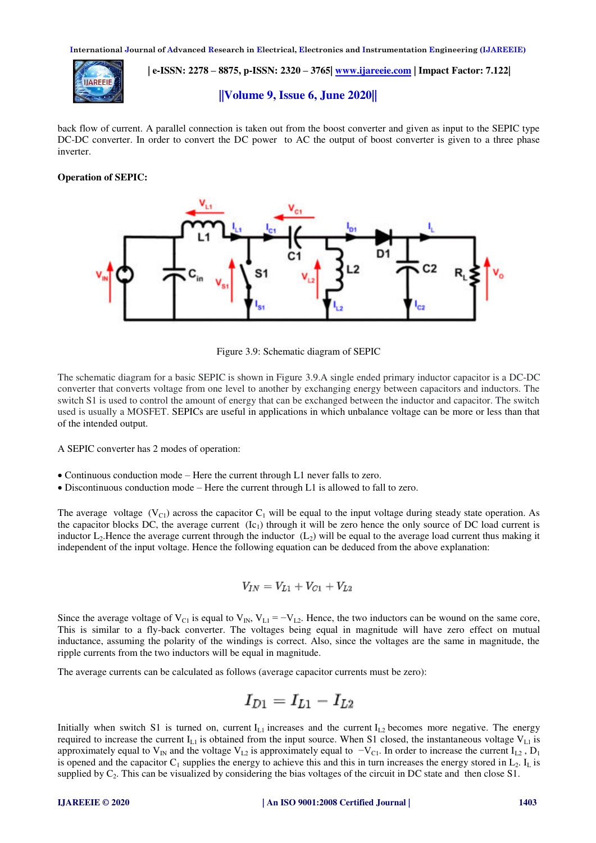

 **| e-ISSN: 2278 – 8875, p-ISSN: 2320 – 3765| [www.ijareeie.com](http://www.ijareeie.com/) | Impact Factor: 7.122|** 

## **||Volume 9, Issue 6, June 2020||**

back flow of current. A parallel connection is taken out from the boost converter and given as input to the SEPIC type DC-DC converter. In order to convert the DC power to AC the output of boost converter is given to a three phase inverter.

## **Operation of SEPIC:**



Figure 3.9: Schematic diagram of SEPIC

The schematic diagram for a basic SEPIC is shown in Figure 3.9.A single ended primary inductor capacitor is a DC-DC converter that converts voltage from one level to another by exchanging energy between capacitors and inductors. The switch S1 is used to control the amount of energy that can be exchanged between the inductor and capacitor. The switch used is usually a MOSFET. SEPICs are useful in applications in which unbalance voltage can be more or less than that of the intended output.

A SEPIC converter has 2 modes of operation:

- Continuous conduction mode Here the current through L1 never falls to zero.
- Discontinuous conduction mode Here the current through L1 is allowed to fall to zero.

The average voltage (V<sub>C1</sub>) across the capacitor C<sub>1</sub> will be equal to the input voltage during steady state operation. As the capacitor blocks DC, the average current  $(Ic<sub>1</sub>)$  through it will be zero hence the only source of DC load current is inductor  $L_2$ . Hence the average current through the inductor  $(L_2)$  will be equal to the average load current thus making it independent of the input voltage. Hence the following equation can be deduced from the above explanation:

$$
V_{IN} = V_{L1} + V_{C1} + V_{L2}
$$

Since the average voltage of  $V_{C1}$  is equal to  $V_{IN}$ ,  $V_{LI} = -V_{L2}$ . Hence, the two inductors can be wound on the same core, This is similar to a fly-back converter. The voltages being equal in magnitude will have zero effect on mutual inductance, assuming the polarity of the windings is correct. Also, since the voltages are the same in magnitude, the ripple currents from the two inductors will be equal in magnitude.

The average currents can be calculated as follows (average capacitor currents must be zero):

$$
I_{D1}=I_{L1}-I_{L2}
$$

Initially when switch S1 is turned on, current  $I_{L1}$  increases and the current  $I_{L2}$  becomes more negative. The energy required to increase the current  $I_{L1}$  is obtained from the input source. When S1 closed, the instantaneous voltage  $V_{L1}$  is approximately equal to V<sub>IN</sub> and the voltage V<sub>L2</sub> is approximately equal to  $-V_{C1}$ . In order to increase the current I<sub>L2</sub>, D<sub>1</sub> is opened and the capacitor  $C_1$  supplies the energy to achieve this and this in turn increases the energy stored in  $L_2$ . I<sub>L</sub> is supplied by  $C_2$ . This can be visualized by considering the bias voltages of the circuit in DC state and then close S1.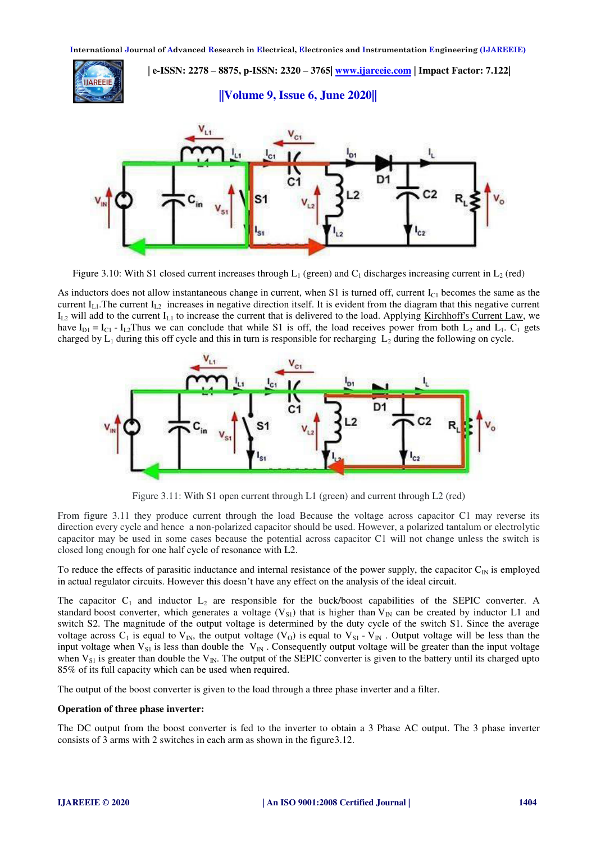

Figure 3.10: With S1 closed current increases through L<sub>1</sub> (green) and C<sub>1</sub> discharges increasing current in L<sub>2</sub> (red)

As inductors does not allow instantaneous change in current, when S1 is turned off, current  $I_{C1}$  becomes the same as the current  $I_{L1}$ . The current  $I_{L2}$  increases in negative direction itself. It is evident from the diagram that this negative current  $I_{L2}$  will add to the current  $I_{L1}$  to increase the current that is delivered to the load. Applying [Kirchhoff's Current Law,](https://en.wikipedia.org/wiki/Kirchhoff%27s_circuit_laws#Kirchhoff.27s_current_law_.28KCL.29) we have  $I_{D1} = I_{C1} - I_{L2}$ Thus we can conclude that while S1 is off, the load receives power from both  $L_2$  and  $L_1$ .  $C_1$  gets charged by  $L_1$  during this off cycle and this in turn is responsible for recharging  $L_2$  during the following on cycle.



Figure 3.11: With S1 open current through L1 (green) and current through L2 (red)

From figure 3.11 they produce current through the load Because the voltage across capacitor C1 may reverse its direction every cycle and hence a non-polarized capacitor should be used. However, a polarized tantalum or electrolytic capacitor may be used in some cases because the potential across capacitor C1 will not change unless the switch is closed long enough for one half cycle of resonance with L2.

To reduce the effects of parasitic inductance and internal resistance of the power supply, the capacitor  $C_{\text{IN}}$  is employed in actual regulator circuits. However this doesn't have any effect on the analysis of the ideal circuit.

The capacitor  $C_1$  and inductor  $L_2$  are responsible for the buck/boost capabilities of the SEPIC converter. A standard [boost converter,](https://en.wikipedia.org/wiki/Boost_converter) which generates a voltage ( $V_{S1}$ ) that is higher than  $V_{IN}$  can be created by inductor L1 and switch S2. The magnitude of the output voltage is determined by the duty cycle of the switch S1. Since the average voltage across C<sub>1</sub> is equal to V<sub>IN</sub>, the output voltage (V<sub>O</sub>) is equal to V<sub>S1</sub> - V<sub>IN</sub>. Output voltage will be less than the input voltage when  $V_{S1}$  is less than double the  $V_{IN}$ . Consequently output voltage will be greater than the input voltage when  $V_{S1}$  is greater than double the  $V_{IN}$ . The output of the SEPIC converter is given to the battery until its charged upto 85% of its full capacity which can be used when required.

The output of the boost converter is given to the load through a three phase inverter and a filter.

#### **Operation of three phase inverter:**

The DC output from the boost converter is fed to the inverter to obtain a 3 Phase AC output. The 3 phase inverter consists of 3 arms with 2 switches in each arm as shown in the figure3.12.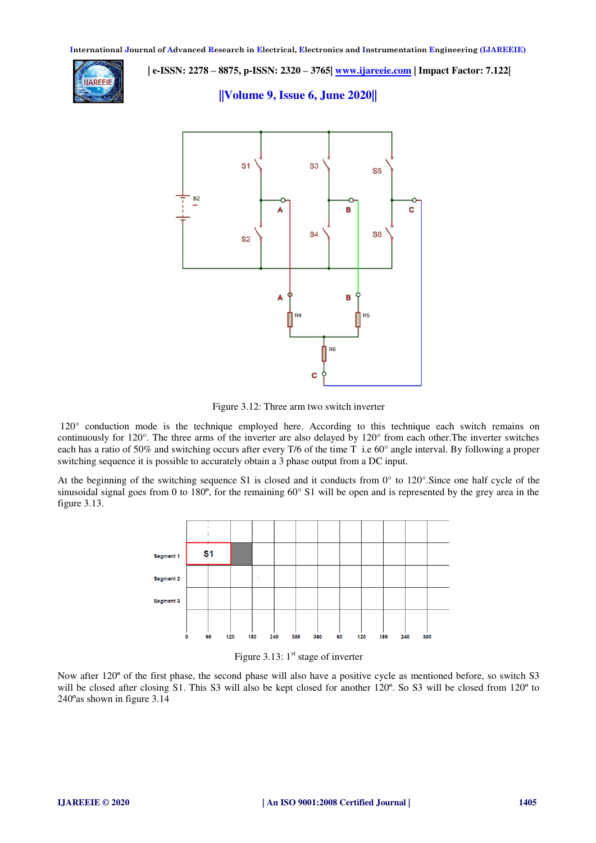

 **| e-ISSN: 2278 – 8875, p-ISSN: 2320 – 3765| [www.ijareeie.com](http://www.ijareeie.com/) | Impact Factor: 7.122|** 

**||Volume 9, Issue 6, June 2020||** 



Figure 3.12: Three arm two switch inverter

 120° conduction mode is the technique employed here. According to this technique each switch remains on continuously for 120°. The three arms of the inverter are also delayed by 120° from each other.The inverter switches each has a ratio of 50% and switching occurs after every T/6 of the time T i.e 60° angle interval. By following a proper switching sequence it is possible to accurately obtain a 3 phase output from a DC input.

At the beginning of the switching sequence S1 is closed and it conducts from 0° to 120°.Since one half cycle of the sinusoidal signal goes from 0 to 180 $^{\circ}$ , for the remaining 60 $^{\circ}$  S1 will be open and is represented by the grey area in the figure 3.13.



Figure 3.13:  $1<sup>st</sup>$  stage of inverter

Now after 120º of the first phase, the second phase will also have a positive cycle as mentioned before, so switch S3 will be closed after closing S1. This S3 will also be kept closed for another 120<sup>o</sup>. So S3 will be closed from 120<sup>o</sup> to 240ºas shown in figure 3.14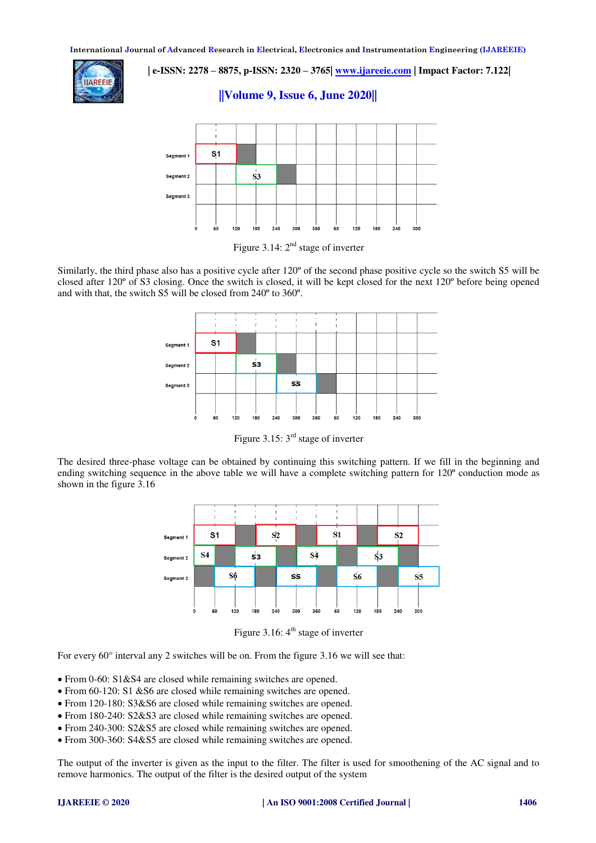

 **| e-ISSN: 2278 – 8875, p-ISSN: 2320 – 3765| [www.ijareeie.com](http://www.ijareeie.com/) | Impact Factor: 7.122|** 

# **||Volume 9, Issue 6, June 2020||**



Figure 3.14:  $2<sup>nd</sup>$  stage of inverter

Similarly, the third phase also has a positive cycle after 120º of the second phase positive cycle so the switch S5 will be closed after 120º of S3 closing. Once the switch is closed, it will be kept closed for the next 120º before being opened and with that, the switch S5 will be closed from 240º to 360º.



Figure 3.15:  $3<sup>rd</sup>$  stage of inverter

The desired three-phase voltage can be obtained by continuing this switching pattern. If we fill in the beginning and ending switching sequence in the above table we will have a complete switching pattern for 120º conduction mode as shown in the figure 3.16



Figure 3.16:  $4<sup>th</sup>$  stage of inverter

For every 60° interval any 2 switches will be on. From the figure 3.16 we will see that:

- From 0-60: S1&S4 are closed while remaining switches are opened.
- From 60-120: S1 &S6 are closed while remaining switches are opened.
- From 120-180: S3&S6 are closed while remaining switches are opened.
- From 180-240: S2&S3 are closed while remaining switches are opened.
- From 240-300: S2&S5 are closed while remaining switches are opened.
- From 300-360: S4&S5 are closed while remaining switches are opened.

The output of the inverter is given as the input to the filter. The filter is used for smoothening of the AC signal and to remove harmonics. The output of the filter is the desired output of the system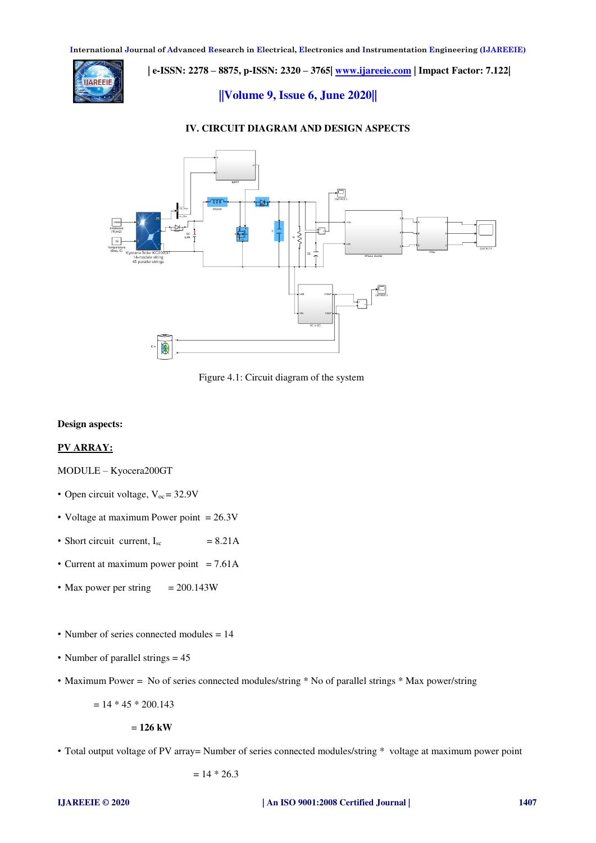

 **| e-ISSN: 2278 – 8875, p-ISSN: 2320 – 3765| [www.ijareeie.com](http://www.ijareeie.com/) | Impact Factor: 7.122|** 

**||Volume 9, Issue 6, June 2020||** 

## **IV. CIRCUIT DIAGRAM AND DESIGN ASPECTS**



Figure 4.1: Circuit diagram of the system

#### **Design aspects:**

# **PV ARRAY:**

# MODULE – Kyocera200GT

- Open circuit voltage,  $V_{oc} = 32.9V$
- Voltage at maximum Power point = 26.3V
- Short circuit current,  $I_{sc}$  = 8.21A
- Current at maximum power point  $= 7.61A$
- Max power per string  $= 200.143W$
- Number of series connected modules = 14
- Number of parallel strings  $= 45$
- Maximum Power = No of series connected modules/string \* No of parallel strings \* Max power/string

 $= 14 * 45 * 200.143$ 

= **126 kW**

• Total output voltage of PV array= Number of series connected modules/string \* voltage at maximum power point

 $= 14 * 26.3$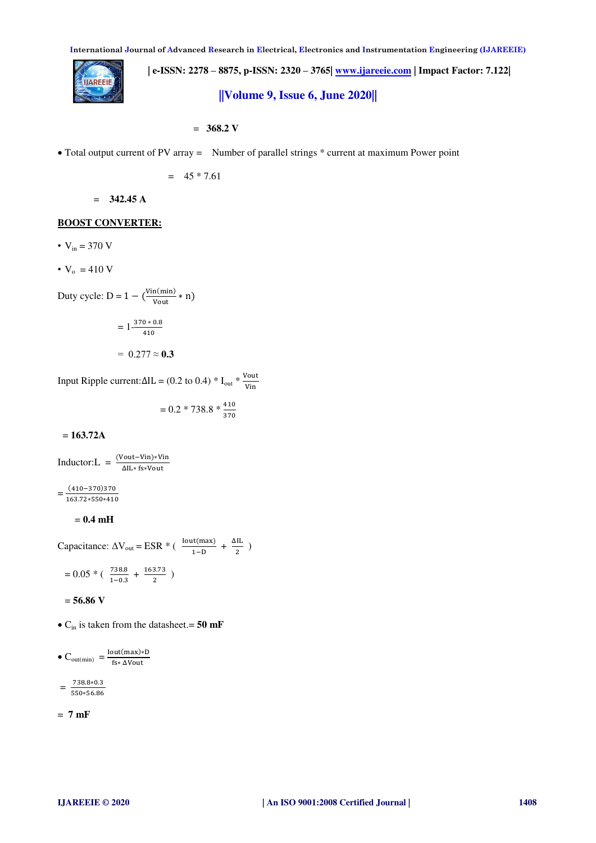

 **| e-ISSN: 2278 – 8875, p-ISSN: 2320 – 3765| [www.ijareeie.com](http://www.ijareeie.com/) | Impact Factor: 7.122| ||Volume 9, Issue 6, June 2020||** 

= **368.2 V**

Total output current of PV array = Number of parallel strings \* current at maximum Power point

$$
= 45 * 7.61
$$

= **342.45 A** 

#### **BOOST CONVERTER:**

- $V_{in} = 370 V$
- $V_0 = 410 V$

Duty cycle:  $D = 1 - (\frac{Vin(min)}{Vout} * n)$ 

$$
=1\frac{370*0.8}{410}
$$

$$
= 0.277 \approx 0.3
$$

Input Ripple current: $\Delta I L = (0.2 \text{ to } 0.4) * I_{out} * \frac{\text{Vout}}{\text{Vin}}$ 

$$
= 0.2 * 738.8 * \frac{410}{370}
$$

= **163.72A** 

$$
Inductor: L = \frac{(Vout-Vin)*Vin}{\Delta IL*fs*Vout}
$$

 $=\frac{(410-370)370}{163.73 \cdot 550 \cdot 411}$ 163.72∗550∗410

$$
= 0.4 \text{ mH}
$$

Capacitance:  $\Delta V_{\text{out}} = ESR * ( \frac{\text{Iout(max)}}{1 - R}$  $\frac{dI(max)}{1-D} + \frac{\Delta IL}{2}$  $\frac{1}{2}$ )  $= 0.05 * ( \frac{738.8}{1.03}$  $\frac{738.8}{1-0.3} + \frac{163.73}{2}$  $\frac{3.73}{2}$ )

= **56.86 V**

Cin is taken from the datasheet.= **50 mF**

 $\bullet$  C<sub>out(min)</sub> =  $\frac{\text{Iout(max)*D}}{\text{f}_{\text{G#} \text{MOut}}}$ fs∗ ΔVout

 $=\frac{738.8*0.3}{550*56.86}$ 550∗56.86

$$
= 7 \,\mathrm{mF}
$$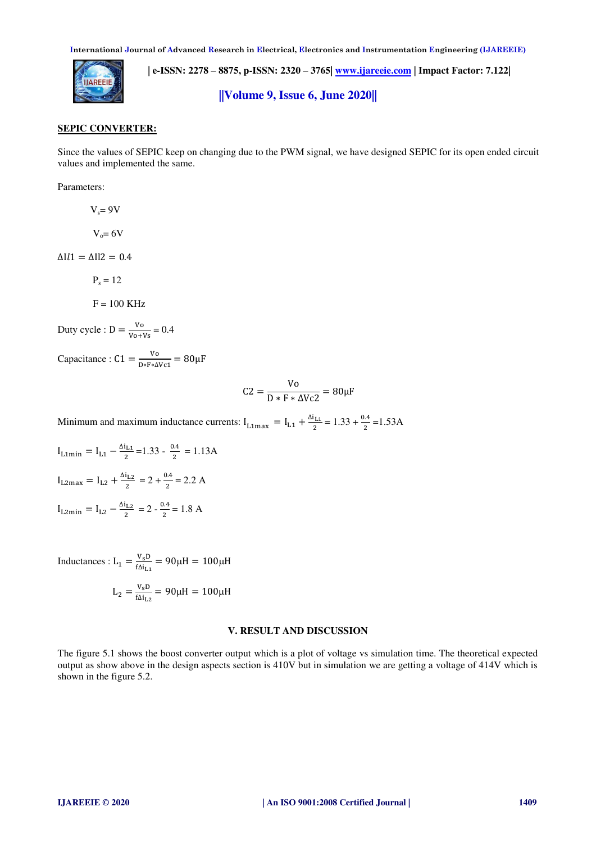

 **| e-ISSN: 2278 – 8875, p-ISSN: 2320 – 3765| [www.ijareeie.com](http://www.ijareeie.com/) | Impact Factor: 7.122|** 

**||Volume 9, Issue 6, June 2020||** 

#### **SEPIC CONVERTER:**

Since the values of SEPIC keep on changing due to the PWM signal, we have designed SEPIC for its open ended circuit values and implemented the same.

Parameters:

 $V_s = 9V$ 

 $V<sub>o</sub>=6V$ 

 $\Delta$ Il1 =  $\Delta$ Il2 = 0.4

 $P_s = 12$ 

 $F = 100$  KHz

Duty cycle : 
$$
D = \frac{v_0}{v_0 + v_s} = 0.4
$$

Capacitance :  $C1 = \frac{V_0}{D * F * \Delta V c1} = 80 \mu F$ 

$$
C2 = \frac{Vo}{D*F* \Delta Vc2} = 80 \mu F
$$

Minimum and maximum inductance currents:  $I_{L1max} = I_{L1} + \frac{\Delta I_{L1}}{2}$  $\frac{11}{2}$  = 1.33 +  $\frac{0.4}{2}$  = 1.53 A

 $I_{L1min} = I_{L1} - \frac{\Delta I_{L1}}{2}$  $\frac{1_{L1}}{2}$  = 1.33 -  $\frac{0.4}{2}$  $\frac{1}{2}$  = 1.13A  $I_{L2max} = I_{L2} + \frac{\Delta I_{L2}}{2}$  $\frac{d_{L2}}{2}$  = 2 +  $\frac{0.4}{2}$  = 2.2 A  $I_{L2min} = I_{L2} - \frac{\Delta I_{L2}}{2}$  $\frac{a_{L2}}{2}$  = 2 -  $\frac{0.4}{2}$  = 1.8 A

Inductances :  $L_1 = \frac{V_S D}{f \Delta i_L}$  $\frac{v_{s}D}{f\Delta i_{L1}}$  = 90µH = 100µH  $L_2 = \frac{V_s D}{f \Delta i_L}$  $\frac{v_{s}D}{fΔi_{L2}}$  = 90μH = 100μH

# **V. RESULT AND DISCUSSION**

The figure 5.1 shows the boost converter output which is a plot of voltage vs simulation time. The theoretical expected output as show above in the design aspects section is 410V but in simulation we are getting a voltage of 414V which is shown in the figure 5.2.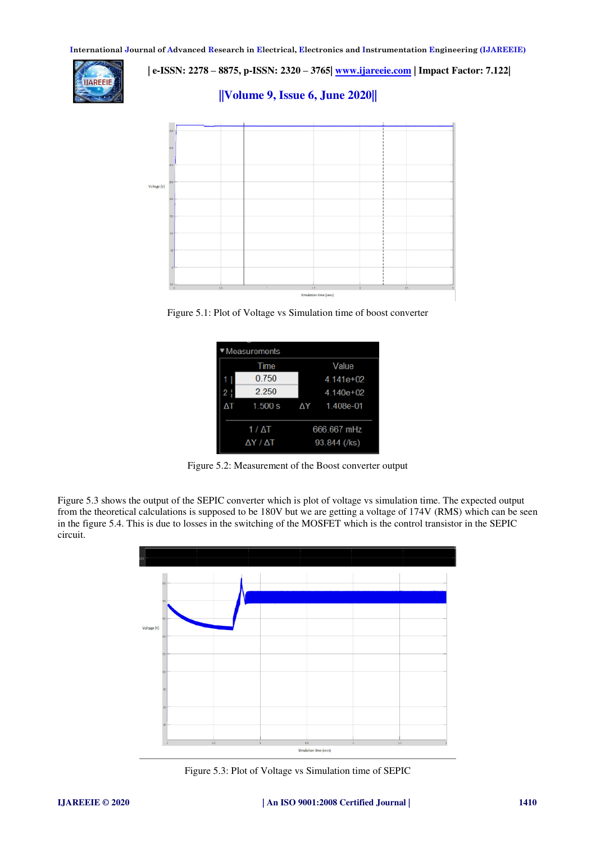

 **| e-ISSN: 2278 – 8875, p-ISSN: 2320 – 3765| [www.ijareeie.com](http://www.ijareeie.com/) | Impact Factor: 7.122|** 

**||Volume 9, Issue 6, June 2020||** 



Figure 5.1: Plot of Voltage vs Simulation time of boost converter

| Measurements |              |               |  |  |  |  |  |  |  |
|--------------|--------------|---------------|--|--|--|--|--|--|--|
|              | Time         | Value         |  |  |  |  |  |  |  |
|              | 0.750        | $4.141e+02$   |  |  |  |  |  |  |  |
| 2 !          | 2.250        | $4.140e + 02$ |  |  |  |  |  |  |  |
|              | 1.500 s      | ΔY 1.408e-01  |  |  |  |  |  |  |  |
|              | $1/\Delta T$ | 666.667 mHz   |  |  |  |  |  |  |  |
|              | ΔΥ / ΔΤ      | 93.844 (/ks)  |  |  |  |  |  |  |  |

Figure 5.2: Measurement of the Boost converter output

Figure 5.3 shows the output of the SEPIC converter which is plot of voltage vs simulation time. The expected output from the theoretical calculations is supposed to be 180V but we are getting a voltage of 174V (RMS) which can be seen in the figure 5.4. This is due to losses in the switching of the MOSFET which is the control transistor in the SEPIC circuit.



Figure 5.3: Plot of Voltage vs Simulation time of SEPIC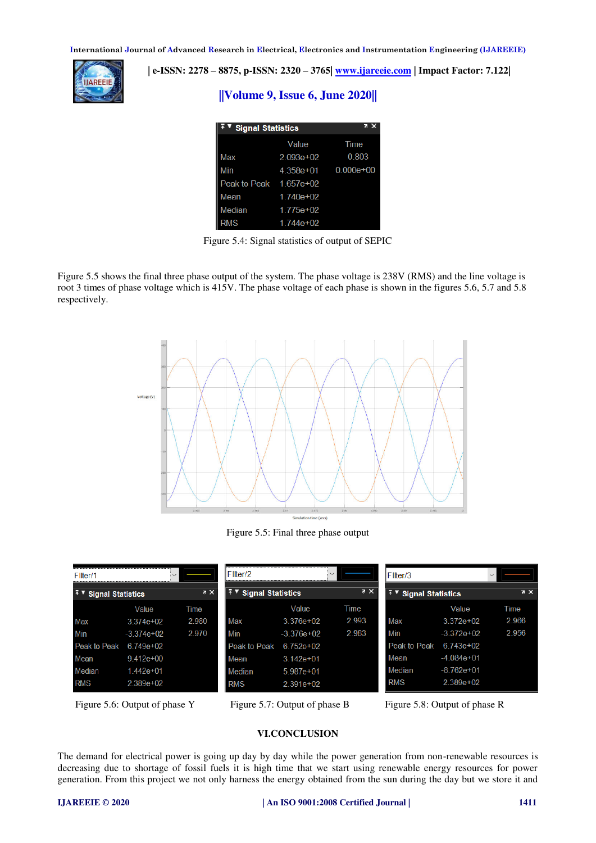

 **| e-ISSN: 2278 – 8875, p-ISSN: 2320 – 3765| [www.ijareeie.com](http://www.ijareeie.com/) | Impact Factor: 7.122|** 

# **||Volume 9, Issue 6, June 2020||**

| <b>Signal Statistics</b> | z             |                         |
|--------------------------|---------------|-------------------------|
|                          | Value         | Time                    |
| Max                      | $2.093e+02$   | 0.803                   |
| Min                      |               | $4.358e+01$ $0.000e+00$ |
| Peak to Peak 1.657e+02   |               |                         |
| Mean                     | $1.740e + 02$ |                         |
| Median                   | $1.775e+02$   |                         |
| <b>RMS</b>               | $1.744e+02$   |                         |

Figure 5.4: Signal statistics of output of SEPIC

Figure 5.5 shows the final three phase output of the system. The phase voltage is 238V (RMS) and the line voltage is root 3 times of phase voltage which is 415V. The phase voltage of each phase is shown in the figures 5.6, 5.7 and 5.8 respectively.



Figure 5.5: Final three phase output

| Filter/1<br>$\vee$               |               |                | Filter/2<br>$\vee$               |               |                | <b>Filter/3</b><br>$\checkmark$ |              |            |
|----------------------------------|---------------|----------------|----------------------------------|---------------|----------------|---------------------------------|--------------|------------|
| [∓ ▼<br><b>Signal Statistics</b> |               | $\overline{R}$ | I∓ v<br><b>Signal Statistics</b> |               | X <sub>5</sub> | <b>Signal Statistics</b>        |              | $7 \times$ |
|                                  | Value         | Time           |                                  | Value         | Time           |                                 | Value        | Time       |
| Max                              | $3.374e+02$   | 2.980          | Max                              | $3.376e + 02$ | 2.993          | Max                             | $3.372e+02$  | 2.966      |
| Min                              | $-3.374e+02$  | 2.970          | Min                              | $-3.376e+02$  | 2.983          | Min                             | $-3.372e+02$ | 2.956      |
| Peak to Peak                     | 6 749e+02     |                | Peak to Peak                     | $6.752e+02$   |                | Peak to Peak                    | $6.743e+02$  |            |
| Mean                             | $9.412e + 00$ |                | Mean                             | $3.142e + 01$ |                | Mean                            | $-4.084e+01$ |            |
| Median                           | $1442e+01$    |                | Median                           | $5.987e+01$   |                | Median                          | -8.762e+01   |            |
| <b>RMS</b>                       | $2.389e+02$   |                | <b>RMS</b>                       | $2.391e+02$   |                | <b>RMS</b>                      | $2.389e+02$  |            |

Figure 5.6: Output of phase Y Figure 5.7: Output of phase B Figure 5.8: Output of phase R

## **VI.CONCLUSION**

The demand for electrical power is going up day by day while the power generation from non-renewable resources is decreasing due to shortage of fossil fuels it is high time that we start using renewable energy resources for power generation. From this project we not only harness the energy obtained from the sun during the day but we store it and